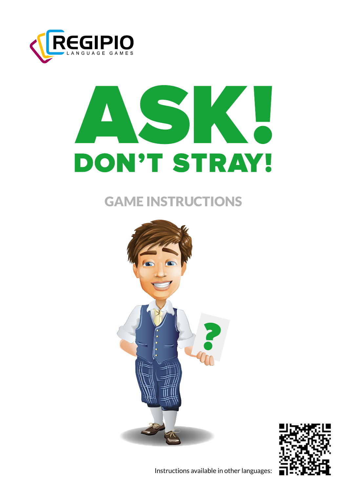

# **DON'T STRAY!**

# GAME INSTRUCTIONS





Instructions available in other languages: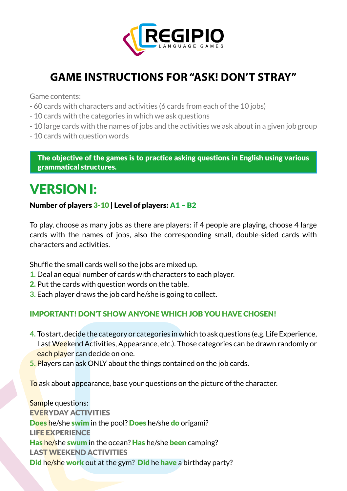

## **GAME INSTRUCTIONS FOR "ASK! DON'T STRAY"**

Game contents:

- 60 cards with characters and activities (6 cards from each of the 10 jobs)
- 10 cards with the categories in which we ask questions
- 10 large cards with the names of jobs and the activities we ask about in a given job group
- 10 cards with question words

The objective of the games is to practice asking questions in English using various grammatical structures.

# VERSION I:

### Number of players 3-10 | Level of players: A1 – B2

To play, choose as many jobs as there are players: if 4 people are playing, choose 4 large cards with the names of jobs, also the corresponding small, double-sided cards with characters and activities.

Shuffle the small cards well so the jobs are mixed up.

- **1.** Deal an equal number of cards with characters to each player.
- 2. Put the cards with question words on the table.
- **3.** Each player draws the job card he/she is going to collect.

### IMPORTANT! DON'T SHOW ANYONE WHICH JOB YOU HAVE CHOSEN!

- **4.** To start, decide the category or categories in which to ask questions (e.g. Life Experience, Last Weekend Activities, Appearance, etc.). Those categories can be drawn randomly or each player can decide on one.
- **5.** Players can ask ONLY about the things contained on the job cards.

To ask about appearance, base your questions on the picture of the character.

Sample questions: EVERYDAY ACTIVITIES Does he/she swim in the pool? Does he/she do origami? LIFE EXPERIENCE Has he/she swum in the ocean? Has he/she been camping? LAST WEEKEND ACTIVITIES Did he/she work out at the gym? Did he have a birthday party?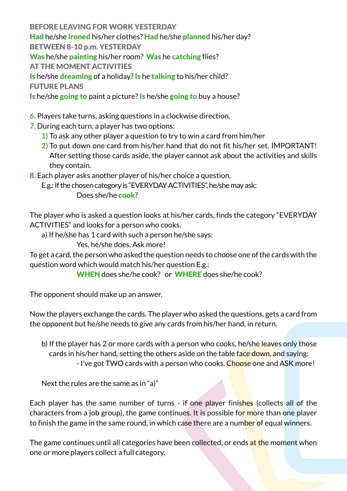BEFORE LEAVING FOR WORK YESTERDAY Had he/she *ironed* his/her clothes? Had he/she planned his/her day? BETWEEN 8-10 p.m. YESTERDAY Was he/she painting his/her room? Was he catching flies? AT THE MOMENT ACTIVITIES Is he/she **dreaming** of a holiday? **Is** he **talking** to his/her child? FUTURE PLANS

Is he/she going to paint a picture? Is he/she going to buy a house?

**6.** Players take turns, asking questions in a clockwise direction.

- **7.** During each turn, a player has two options:
	- **1)** To ask any other player a question to try to win a card from him/her
	- **2)** To put down one card from his/her hand that do not fit his/her set. IMPORTANT! After setting those cards aside, the player cannot ask about the activities and skills they contain.
- 8. Each player asks another player of his/her choice a question.

E.g.: If the chosen category is "EVERYDAY ACTIVITIES", he/she may ask: Does she/he **cook**?

The player who is asked a question looks at his/her cards, finds the category "EVERYDAY ACTIVITIES" and looks for a person who cooks.

a) If he/she has 1 card with such a person he/she says:

Yes, he/she does. Ask more!

To get a card, the person who asked the question needs to choose one of the cards with the question word which would match his/her question E.g.:

WHEN does she/he cook? or WHERE does she/he cook?

The opponent should make up an answer.

Now the players exchange the cards. The player who asked the questions, gets a card from the opponent but he/she needs to give any cards from his/her hand, in return.

b) If the player has 2 or more cards with a person who cooks, he/she leaves only those cards in his/her hand, setting the others aside on the table face down, and saying: - I've got TWO cards with a person who cooks. Choose one and ASK more!

Next the rules are the same as in "a)"

Each player has the same number of turns - if one player finishes (collects all of the characters from a job group), the game continues. It is possible for more than one player to finish the game in the same round, in which case there are a number of equal winners.

The game continues until all categories have been collected, or ends at the moment when one or more players collect a full category.